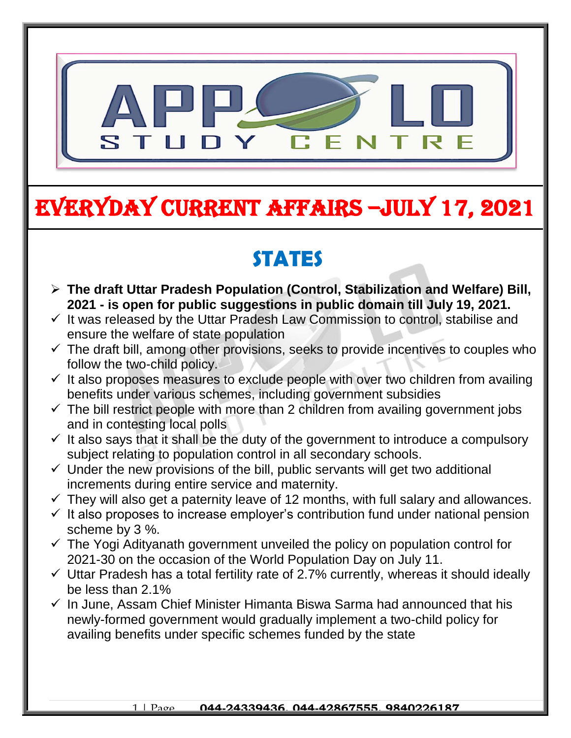

# EVERYDAY CURRENT AFFAIRS –jULY 17, 2021

-

#### **STATES**  $\blacksquare$

- **The draft Uttar Pradesh Population (Control, Stabilization and Welfare) Bill, 2021 - is open for public suggestions in public domain till July 19, 2021.**
- $\checkmark$  It was released by the Uttar Pradesh Law Commission to control, stabilise and ensure the welfare of state population
- $\checkmark$  The draft bill, among other provisions, seeks to provide incentives to couples who follow the two-child policy.
- $\checkmark$  It also proposes measures to exclude people with over two children from availing benefits under various schemes, including government subsidies
- $\checkmark$  The bill restrict people with more than 2 children from availing government jobs and in contesting local polls
- $\checkmark$  It also says that it shall be the duty of the government to introduce a compulsory subject relating to population control in all secondary schools.
- $\checkmark$  Under the new provisions of the bill, public servants will get two additional increments during entire service and maternity.
- $\checkmark$  They will also get a paternity leave of 12 months, with full salary and allowances.
- $\checkmark$  It also proposes to increase employer's contribution fund under national pension scheme by 3 %.
- $\checkmark$  The Yogi Adityanath government unveiled the policy on population control for 2021-30 on the occasion of the World Population Day on July 11.
- $\checkmark$  Uttar Pradesh has a total fertility rate of 2.7% currently, whereas it should ideally be less than 2.1%
- $\checkmark$  In June, Assam Chief Minister Himanta Biswa Sarma had announced that his newly-formed government would gradually implement a two-child policy for availing benefits under specific schemes funded by the state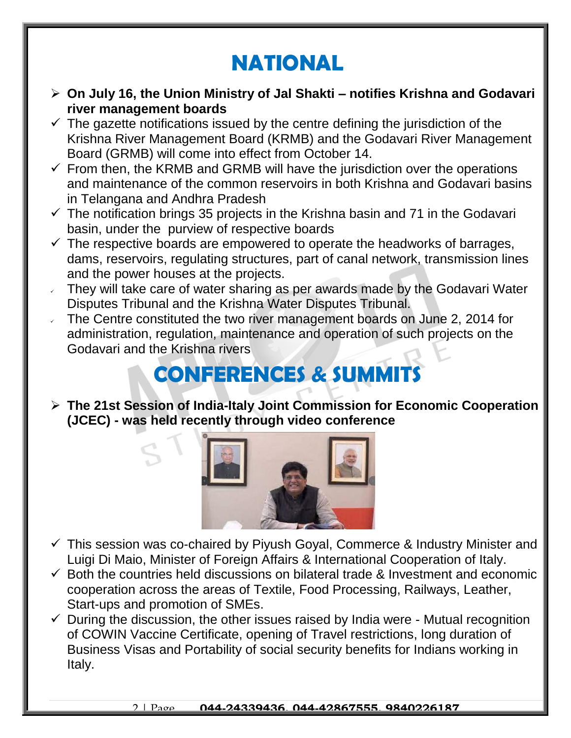## **NATIONAL**

- **On July 16, the Union Ministry of Jal Shakti – notifies Krishna and Godavari river management boards**
- $\checkmark$  The gazette notifications issued by the centre defining the jurisdiction of the Krishna River Management Board (KRMB) and the Godavari River Management Board (GRMB) will come into effect from October 14.
- $\checkmark$  From then, the KRMB and GRMB will have the jurisdiction over the operations and maintenance of the common reservoirs in both Krishna and Godavari basins in Telangana and Andhra Pradesh
- $\checkmark$  The notification brings 35 projects in the Krishna basin and 71 in the Godavari basin, under the purview of respective boards
- $\checkmark$  The respective boards are empowered to operate the headworks of barrages, dams, reservoirs, regulating structures, part of canal network, transmission lines and the power houses at the projects.
- $\sqrt{ }$  They will take care of water sharing as per awards made by the Godavari Water Disputes Tribunal and the Krishna Water Disputes Tribunal.
- $\sim$  The Centre constituted the two river management boards on June 2, 2014 for administration, regulation, maintenance and operation of such projects on the Godavari and the Krishna rivers

# **CONFERENCES & SUMMITS**

 **The 21st Session of India-Italy Joint Commission for Economic Cooperation (JCEC) - was held recently through video conference**



- $\checkmark$  This session was co-chaired by Piyush Goyal, Commerce & Industry Minister and Luigi Di Maio, Minister of Foreign Affairs & International Cooperation of Italy.
- $\checkmark$  Both the countries held discussions on bilateral trade & Investment and economic cooperation across the areas of Textile, Food Processing, Railways, Leather, Start-ups and promotion of SMEs.
- $\checkmark$  During the discussion, the other issues raised by India were Mutual recognition of COWIN Vaccine Certificate, opening of Travel restrictions, long duration of Business Visas and Portability of social security benefits for Indians working in Italy.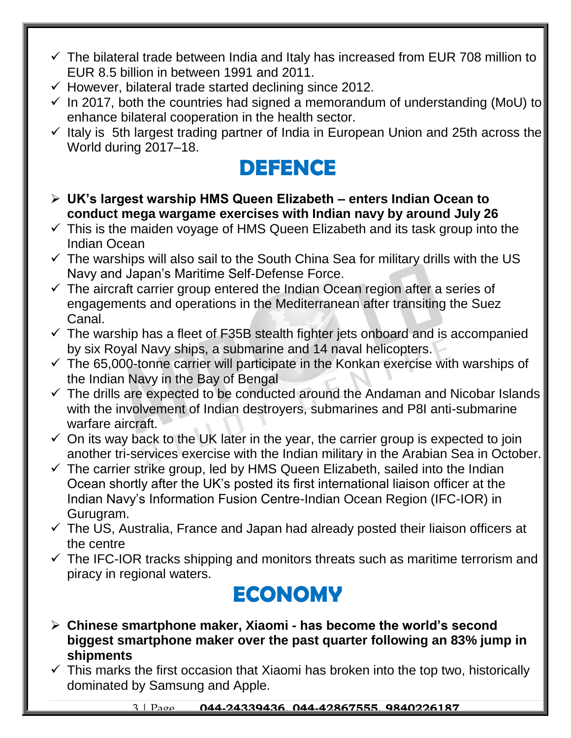- $\checkmark$  The bilateral trade between India and Italy has increased from EUR 708 million to EUR 8.5 billion in between 1991 and 2011.
- $\checkmark$  However, bilateral trade started declining since 2012.
- $\checkmark$  In 2017, both the countries had signed a memorandum of understanding (MoU) to enhance bilateral cooperation in the health sector.
- $\checkmark$  Italy is 5th largest trading partner of India in European Union and 25th across the World during 2017–18.

#### **DEFENCE**

- **UK's largest warship HMS Queen Elizabeth – enters Indian Ocean to conduct mega wargame exercises with Indian navy by around July 26**
- $\checkmark$  This is the maiden voyage of HMS Queen Elizabeth and its task group into the Indian Ocean
- $\checkmark$  The warships will also sail to the South China Sea for military drills with the US Navy and Japan's Maritime Self-Defense Force.
- $\checkmark$  The aircraft carrier group entered the Indian Ocean region after a series of engagements and operations in the Mediterranean after transiting the Suez Canal.
- $\checkmark$  The warship has a fleet of F35B stealth fighter jets onboard and is accompanied by six Royal Navy ships, a submarine and 14 naval helicopters.
- $\checkmark$  The 65,000-tonne carrier will participate in the Konkan exercise with warships of the Indian Navy in the Bay of Bengal
- $\checkmark$  The drills are expected to be conducted around the Andaman and Nicobar Islands with the involvement of Indian destroyers, submarines and P8I anti-submarine warfare aircraft.
- $\checkmark$  On its way back to the UK later in the year, the carrier group is expected to join another tri-services exercise with the Indian military in the Arabian Sea in October.
- $\checkmark$  The carrier strike group, led by HMS Queen Elizabeth, sailed into the Indian Ocean shortly after the UK's posted its first international liaison officer at the Indian Navy's Information Fusion Centre-Indian Ocean Region (IFC-IOR) in Gurugram.
- $\checkmark$  The US, Australia, France and Japan had already posted their liaison officers at the centre
- $\checkmark$  The IFC-IOR tracks shipping and monitors threats such as maritime terrorism and piracy in regional waters.

# **ECONOMY**

- **Chinese smartphone maker, Xiaomi - has become the world's second biggest smartphone maker over the past quarter following an 83% jump in shipments**
- $\checkmark$  This marks the first occasion that Xiaomi has broken into the top two, historically dominated by Samsung and Apple.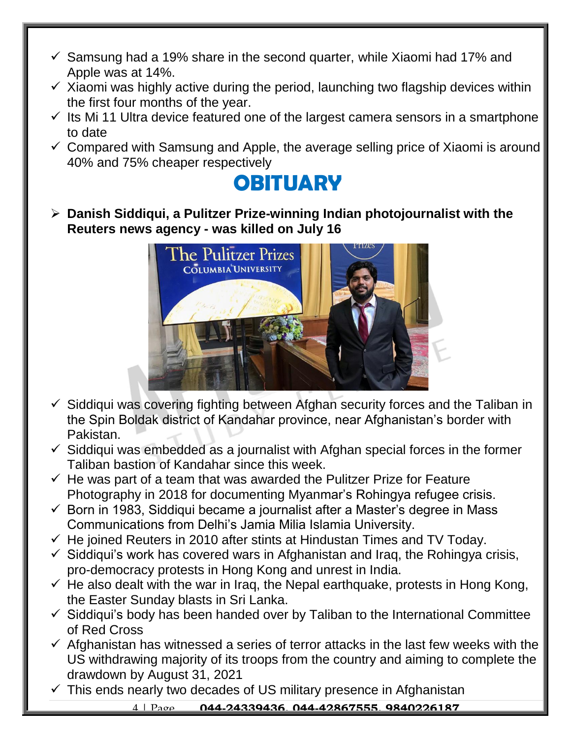- $\checkmark$  Samsung had a 19% share in the second quarter, while Xiaomi had 17% and Apple was at 14%.
- $\checkmark$  Xiaomi was highly active during the period, launching two flagship devices within the first four months of the year.
- $\checkmark$  Its Mi 11 Ultra device featured one of the largest camera sensors in a smartphone to date
- $\checkmark$  Compared with Samsung and Apple, the average selling price of Xiaomi is around 40% and 75% cheaper respectively

#### **OBITUARY**

 **Danish Siddiqui, a Pulitzer Prize-winning Indian photojournalist with the Reuters news agency - was killed on July 16**



- $\checkmark$  Siddiqui was covering fighting between Afghan security forces and the Taliban in the Spin Boldak district of Kandahar province, near Afghanistan's border with Pakistan.
- $\checkmark$  Siddiqui was embedded as a journalist with Afghan special forces in the former Taliban bastion of Kandahar since this week.
- $\checkmark$  He was part of a team that was awarded the Pulitzer Prize for Feature Photography in 2018 for documenting Myanmar's Rohingya refugee crisis.
- $\checkmark$  Born in 1983, Siddiqui became a journalist after a Master's degree in Mass Communications from Delhi's Jamia Milia Islamia University.
- $\checkmark$  He joined Reuters in 2010 after stints at Hindustan Times and TV Today.
- $\checkmark$  Siddiqui's work has covered wars in Afghanistan and Iraq, the Rohingya crisis, pro-democracy protests in Hong Kong and unrest in India.
- $\checkmark$  He also dealt with the war in Iraq, the Nepal earthquake, protests in Hong Kong, the Easter Sunday blasts in Sri Lanka.
- $\checkmark$  Siddiqui's body has been handed over by Taliban to the International Committee of Red Cross
- $\checkmark$  Afghanistan has witnessed a series of terror attacks in the last few weeks with the US withdrawing majority of its troops from the country and aiming to complete the drawdown by August 31, 2021
- $\checkmark$  This ends nearly two decades of US military presence in Afghanistan